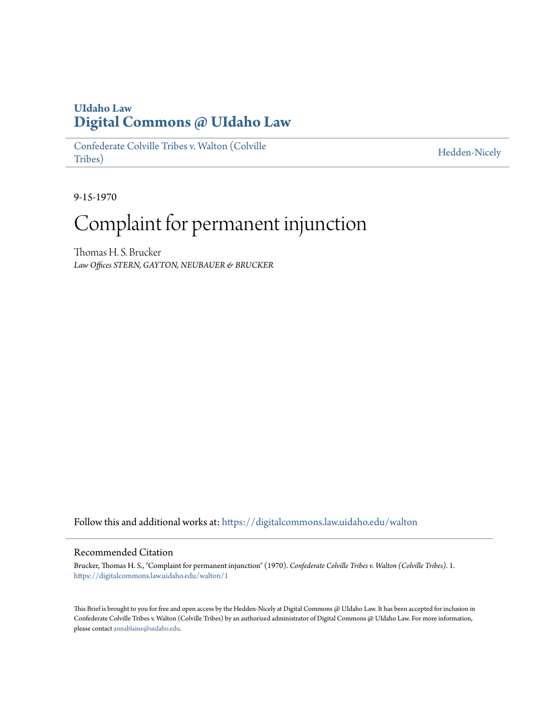## **UIdaho Law [Digital Commons @ UIdaho Law](https://digitalcommons.law.uidaho.edu?utm_source=digitalcommons.law.uidaho.edu%2Fwalton%2F1&utm_medium=PDF&utm_campaign=PDFCoverPages)**

[Confederate Colville Tribes v. Walton \(Colville](https://digitalcommons.law.uidaho.edu/walton?utm_source=digitalcommons.law.uidaho.edu%2Fwalton%2F1&utm_medium=PDF&utm_campaign=PDFCoverPages) [Tribes\)](https://digitalcommons.law.uidaho.edu/walton?utm_source=digitalcommons.law.uidaho.edu%2Fwalton%2F1&utm_medium=PDF&utm_campaign=PDFCoverPages)

[Hedden-Nicely](https://digitalcommons.law.uidaho.edu/hedden-nicely?utm_source=digitalcommons.law.uidaho.edu%2Fwalton%2F1&utm_medium=PDF&utm_campaign=PDFCoverPages)

9-15-1970

## Complaint for permanent injunction

Thomas H. S. Brucker *Law Offices STERN, GAYTON, NEUBAUER & BRUCKER*

Follow this and additional works at: [https://digitalcommons.law.uidaho.edu/walton](https://digitalcommons.law.uidaho.edu/walton?utm_source=digitalcommons.law.uidaho.edu%2Fwalton%2F1&utm_medium=PDF&utm_campaign=PDFCoverPages)

## Recommended Citation

Brucker, Thomas H. S., "Complaint for permanent injunction" (1970). *Confederate Colville Tribes v. Walton (Colville Tribes)*. 1. [https://digitalcommons.law.uidaho.edu/walton/1](https://digitalcommons.law.uidaho.edu/walton/1?utm_source=digitalcommons.law.uidaho.edu%2Fwalton%2F1&utm_medium=PDF&utm_campaign=PDFCoverPages)

This Brief is brought to you for free and open access by the Hedden-Nicely at Digital Commons @ UIdaho Law. It has been accepted for inclusion in Confederate Colville Tribes v. Walton (Colville Tribes) by an authorized administrator of Digital Commons @ UIdaho Law. For more information, please contact [annablaine@uidaho.edu](mailto:annablaine@uidaho.edu).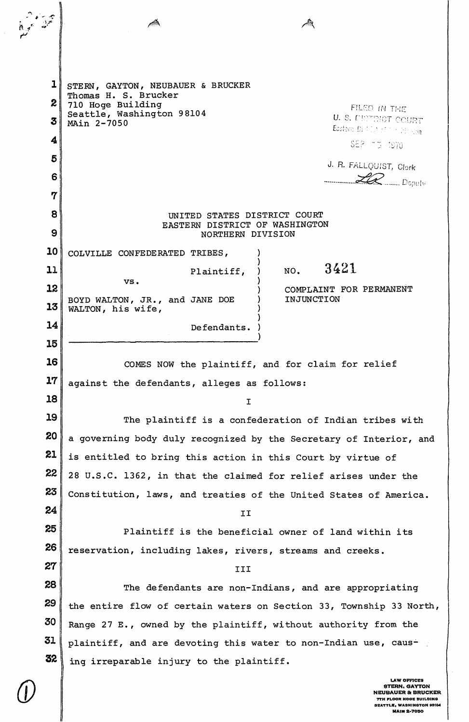$\mathbf{1}$ STERN, GAYTON, NEUBAUER & BRUCKER Thomas H. S. Brucker  $\boldsymbol{z}$ 710 Hoge Building FILED IN THE Seattle, Washington 98104 U. S. DETENCT COURT  $\overline{\mathbf{3}}$ MAin 2-7050 Eastern Dist Life of Montington 4 SEP 73 1970 5 J. R. FALLQUIST, Clerk  $Z\!\!\!Z\!\!\!Z_{\rm \_Dopulv}$ 6  $\mathbf 7$ UNITED STATES DISTRICT COURT 8 EASTERN DISTRICT OF WASHINGTON 9 NORTHERN DIVISION 10 COLVILLE CONFEDERATED TRIBES, 3421  $11$ NO. Plaintiff. Δ, vs. 12 COMPLAINT FOR PERMANENT BOYD WALTON, JR., and JANE DOE INJUNCTION 13 WALTON, his wife, 14 Defendants. 15 16 COMES NOW the plaintiff, and for claim for relief  $17$ against the defendants, alleges as follows: 18  $\mathbf I$ 19 The plaintiff is a confederation of Indian tribes with 20 a governing body duly recognized by the Secretary of Interior, and 21 is entitled to bring this action in this Court by virtue of 22 28 U.S.C. 1362, in that the claimed for relief arises under the 23 Constitution, laws, and treaties of the United States of America. 24 TT<sub></sub> 25 Plaintiff is the beneficial owner of land within its 26 reservation, including lakes, rivers, streams and creeks. 27 **TTT** 28 The defendants are non-Indians, and are appropriating 29 the entire flow of certain waters on Section 33, Township 33 North, 30 Range 27 E., owned by the plaintiff, without authority from the 31 plaintiff, and are devoting this water to non-Indian use, caus-32 ing irreparable injury to the plaintiff. **AW OFFICES** 

**STERN, GAYTON NEUBAUER & BRUCKER** THE ENTERTA ENTERTAINMENT<br>SEATTLE, WASHINGTON 98104 **MAIN 2-7050**